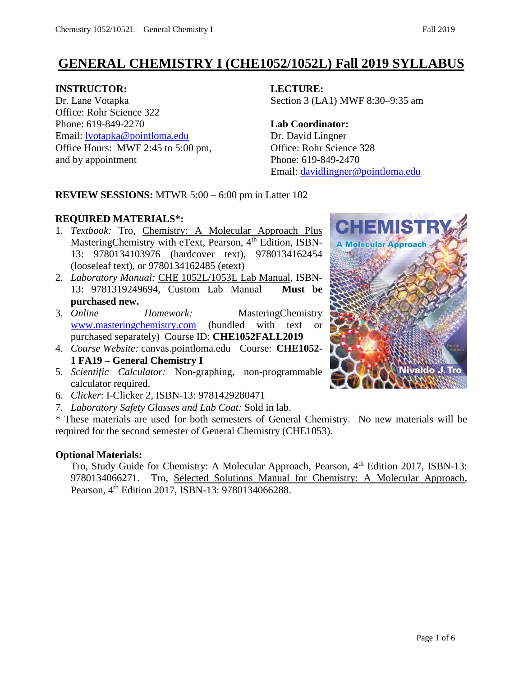# **GENERAL CHEMISTRY I (CHE1052/1052L) Fall 2019 SYLLABUS**

## **INSTRUCTOR: LECTURE:**

Dr. Lane Votapka Section 3 (LA1) MWF 8:30–9:35 am Office: Rohr Science 322 Phone: 619-849-2270 **Lab Coordinator:** Email: [lvotapka@pointloma.edu](mailto:lvotapka@pointloma.edu) Dr. David Lingner Office Hours: MWF 2:45 to 5:00 pm, Office: Rohr Science 328 and by appointment Phone: 619-849-2470

Email: [davidlingner@pointloma.edu](mailto:davidlingner@pointloma.edu)

## **REVIEW SESSIONS:** MTWR 5:00 – 6:00 pm in Latter 102

# **REQUIRED MATERIALS\*:**

- 1. *Textbook:* Tro, Chemistry: A Molecular Approach Plus MasteringChemistry with eText, Pearson, 4<sup>th</sup> Edition, ISBN-13: 9780134103976 (hardcover text), 9780134162454 (looseleaf text), or 9780134162485 (etext)
- 2. *Laboratory Manual:* CHE 1052L/1053L Lab Manual, ISBN-13: 9781319249694, Custom Lab Manual – **Must be purchased new.**
- 3. *Online Homework:* MasteringChemistry [www.masteringchemistry.com](http://www.masteringchemistry.com/) (bundled with text or purchased separately) Course ID: **CHE1052FALL2019**
- 4. *Course Website:* canvas.pointloma.edu Course: **CHE1052- 1 FA19 – General Chemistry I**
- 5. *Scientific Calculator:* Non-graphing, non-programmable calculator required.
- 6. *Clicker*: I-Clicker 2, ISBN-13: 9781429280471
- 7. *Laboratory Safety Glasses and Lab Coat:* Sold in lab.

\* These materials are used for both semesters of General Chemistry. No new materials will be required for the second semester of General Chemistry (CHE1053).

## **Optional Materials:**

Tro, Study Guide for Chemistry: A Molecular Approach, Pearson, 4<sup>th</sup> Edition 2017, ISBN-13: 9780134066271. Tro, Selected Solutions Manual for Chemistry: A Molecular Approach, Pearson, 4<sup>th</sup> Edition 2017, ISBN-13: 9780134066288.

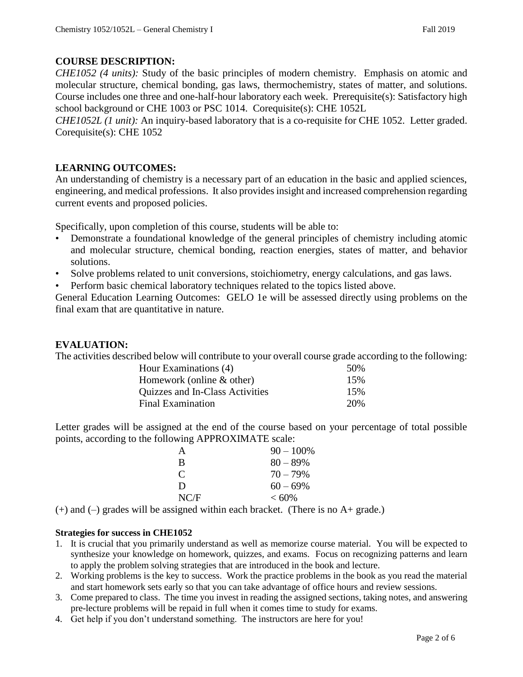## **COURSE DESCRIPTION:**

*CHE1052 (4 units):* Study of the basic principles of modern chemistry. Emphasis on atomic and molecular structure, chemical bonding, gas laws, thermochemistry, states of matter, and solutions. Course includes one three and one-half-hour laboratory each week. Prerequisite(s): Satisfactory high school background or CHE 1003 or PSC 1014. Corequisite(s): CHE 1052L

*CHE1052L (1 unit)*: An inquiry-based laboratory that is a co-requisite for CHE 1052. Letter graded. Corequisite(s): CHE 1052

## **LEARNING OUTCOMES:**

An understanding of chemistry is a necessary part of an education in the basic and applied sciences, engineering, and medical professions. It also provides insight and increased comprehension regarding current events and proposed policies.

Specifically, upon completion of this course, students will be able to:

- Demonstrate a foundational knowledge of the general principles of chemistry including atomic and molecular structure, chemical bonding, reaction energies, states of matter, and behavior solutions.
- Solve problems related to unit conversions, stoichiometry, energy calculations, and gas laws.
- Perform basic chemical laboratory techniques related to the topics listed above.

General Education Learning Outcomes: GELO 1e will be assessed directly using problems on the final exam that are quantitative in nature.

### **EVALUATION:**

The activities described below will contribute to your overall course grade according to the following:

| Hour Examinations (4)           | .50% |
|---------------------------------|------|
| Homework (online $&$ other)     | 15%  |
| Quizzes and In-Class Activities | 15%  |
| <b>Final Examination</b>        | 20%  |

Letter grades will be assigned at the end of the course based on your percentage of total possible points, according to the following APPROXIMATE scale:

| А    | $90 - 100\%$ |
|------|--------------|
| R    | $80 - 89\%$  |
| C    | $70 - 79\%$  |
| D    | $60 - 69\%$  |
| NC/F | $< 60\%$     |

 $(+)$  and  $(-)$  grades will be assigned within each bracket. (There is no A+ grade.)

### **Strategies for success in CHE1052**

- 1. It is crucial that you primarily understand as well as memorize course material. You will be expected to synthesize your knowledge on homework, quizzes, and exams. Focus on recognizing patterns and learn to apply the problem solving strategies that are introduced in the book and lecture.
- 2. Working problems is the key to success. Work the practice problems in the book as you read the material and start homework sets early so that you can take advantage of office hours and review sessions.
- 3. Come prepared to class. The time you invest in reading the assigned sections, taking notes, and answering pre-lecture problems will be repaid in full when it comes time to study for exams.
- 4. Get help if you don't understand something. The instructors are here for you!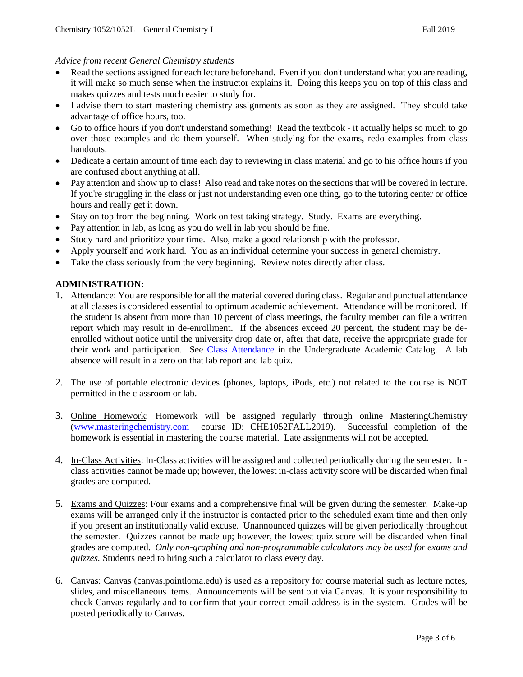#### *Advice from recent General Chemistry students*

- Read the sections assigned for each lecture beforehand. Even if you don't understand what you are reading, it will make so much sense when the instructor explains it. Doing this keeps you on top of this class and makes quizzes and tests much easier to study for.
- I advise them to start mastering chemistry assignments as soon as they are assigned. They should take advantage of office hours, too.
- Go to office hours if you don't understand something! Read the textbook it actually helps so much to go over those examples and do them yourself. When studying for the exams, redo examples from class handouts.
- Dedicate a certain amount of time each day to reviewing in class material and go to his office hours if you are confused about anything at all.
- Pay attention and show up to class! Also read and take notes on the sections that will be covered in lecture. If you're struggling in the class or just not understanding even one thing, go to the tutoring center or office hours and really get it down.
- Stay on top from the beginning. Work on test taking strategy. Study. Exams are everything.
- Pay attention in lab, as long as you do well in lab you should be fine.
- Study hard and prioritize your time. Also, make a good relationship with the professor.
- Apply yourself and work hard. You as an individual determine your success in general chemistry.
- Take the class seriously from the very beginning. Review notes directly after class.

#### **ADMINISTRATION:**

- 1. Attendance: You are responsible for all the material covered during class. Regular and punctual attendance at all classes is considered essential to optimum academic achievement. Attendance will be monitored. If the student is absent from more than 10 percent of class meetings, the faculty member can file a written report which may result in de-enrollment. If the absences exceed 20 percent, the student may be deenrolled without notice until the university drop date or, after that date, receive the appropriate grade for their work and participation. See [Class Attendance](https://catalog.pointloma.edu/content.php?catoid=35&navoid=2136#Class_Attendance) in the Undergraduate Academic Catalog. A lab absence will result in a zero on that lab report and lab quiz.
- 2. The use of portable electronic devices (phones, laptops, iPods, etc.) not related to the course is NOT permitted in the classroom or lab.
- 3. Online Homework: Homework will be assigned regularly through online MasteringChemistry [\(www.masteringchemistry.com](http://www.masteringchemistry.com/) course ID: CHE1052FALL2019). Successful completion of the homework is essential in mastering the course material. Late assignments will not be accepted.
- 4. In-Class Activities: In-Class activities will be assigned and collected periodically during the semester. Inclass activities cannot be made up; however, the lowest in-class activity score will be discarded when final grades are computed.
- 5. Exams and Quizzes: Four exams and a comprehensive final will be given during the semester. Make-up exams will be arranged only if the instructor is contacted prior to the scheduled exam time and then only if you present an institutionally valid excuse. Unannounced quizzes will be given periodically throughout the semester. Quizzes cannot be made up; however, the lowest quiz score will be discarded when final grades are computed. *Only non-graphing and non-programmable calculators may be used for exams and quizzes.* Students need to bring such a calculator to class every day.
- 6. Canvas: Canvas (canvas.pointloma.edu) is used as a repository for course material such as lecture notes, slides, and miscellaneous items. Announcements will be sent out via Canvas. It is your responsibility to check Canvas regularly and to confirm that your correct email address is in the system. Grades will be posted periodically to Canvas.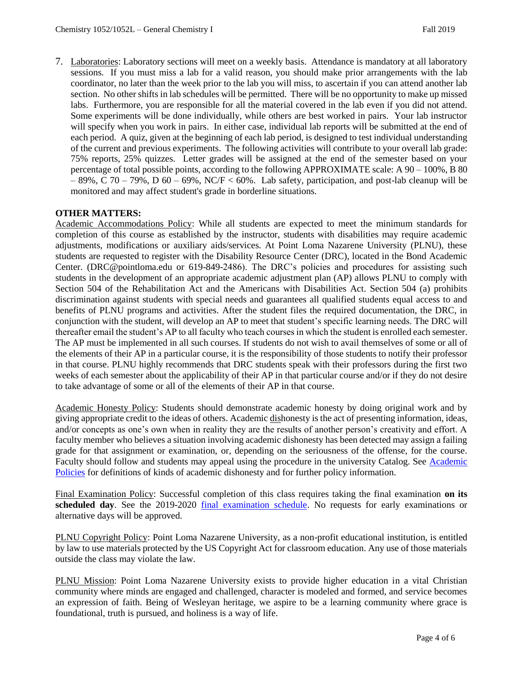7. Laboratories: Laboratory sections will meet on a weekly basis. Attendance is mandatory at all laboratory sessions. If you must miss a lab for a valid reason, you should make prior arrangements with the lab coordinator, no later than the week prior to the lab you will miss, to ascertain if you can attend another lab section. No other shifts in lab schedules will be permitted. There will be no opportunity to make up missed labs. Furthermore, you are responsible for all the material covered in the lab even if you did not attend. Some experiments will be done individually, while others are best worked in pairs. Your lab instructor will specify when you work in pairs. In either case, individual lab reports will be submitted at the end of each period. A quiz, given at the beginning of each lab period, is designed to test individual understanding of the current and previous experiments. The following activities will contribute to your overall lab grade: 75% reports, 25% quizzes. Letter grades will be assigned at the end of the semester based on your percentage of total possible points, according to the following APPROXIMATE scale: A 90 – 100%, B 80  $-89\%$ , C 70 – 79%, D 60 – 69%, NC/F < 60%. Lab safety, participation, and post-lab cleanup will be monitored and may affect student's grade in borderline situations.

#### **OTHER MATTERS:**

Academic Accommodations Policy: While all students are expected to meet the minimum standards for completion of this course as established by the instructor, students with disabilities may require academic adjustments, modifications or auxiliary aids/services. At Point Loma Nazarene University (PLNU), these students are requested to register with the Disability Resource Center (DRC), located in the Bond Academic Center. (DRC@pointloma.edu or 619-849-2486). The DRC's policies and procedures for assisting such students in the development of an appropriate academic adjustment plan (AP) allows PLNU to comply with Section 504 of the Rehabilitation Act and the Americans with Disabilities Act. Section 504 (a) prohibits discrimination against students with special needs and guarantees all qualified students equal access to and benefits of PLNU programs and activities. After the student files the required documentation, the DRC, in conjunction with the student, will develop an AP to meet that student's specific learning needs. The DRC will thereafter email the student's AP to all faculty who teach courses in which the student is enrolled each semester. The AP must be implemented in all such courses. If students do not wish to avail themselves of some or all of the elements of their AP in a particular course, it is the responsibility of those students to notify their professor in that course. PLNU highly recommends that DRC students speak with their professors during the first two weeks of each semester about the applicability of their AP in that particular course and/or if they do not desire to take advantage of some or all of the elements of their AP in that course.

Academic Honesty Policy: Students should demonstrate academic honesty by doing original work and by giving appropriate credit to the ideas of others. Academic dishonesty is the act of presenting information, ideas, and/or concepts as one's own when in reality they are the results of another person's creativity and effort. A faculty member who believes a situation involving academic dishonesty has been detected may assign a failing grade for that assignment or examination, or, depending on the seriousness of the offense, for the course. Faculty should follow and students may appeal using the procedure in the university Catalog. See [Academic](https://catalog.pointloma.edu/content.php?catoid=35&navoid=2136)  [Policies](https://catalog.pointloma.edu/content.php?catoid=35&navoid=2136) for definitions of kinds of academic dishonesty and for further policy information.

Final Examination Policy: Successful completion of this class requires taking the final examination **on its scheduled day**. See the 2019-2020 [final examination schedule.](https://drive.google.com/file/d/19qmj9RId5_4NaJOjmmIguVPiWomWNYOS/view) No requests for early examinations or alternative days will be approved.

PLNU Copyright Policy: Point Loma Nazarene University, as a non-profit educational institution, is entitled by law to use materials protected by the US Copyright Act for classroom education. Any use of those materials outside the class may violate the law.

PLNU Mission: Point Loma Nazarene University exists to provide higher education in a vital Christian community where minds are engaged and challenged, character is modeled and formed, and service becomes an expression of faith. Being of Wesleyan heritage, we aspire to be a learning community where grace is foundational, truth is pursued, and holiness is a way of life.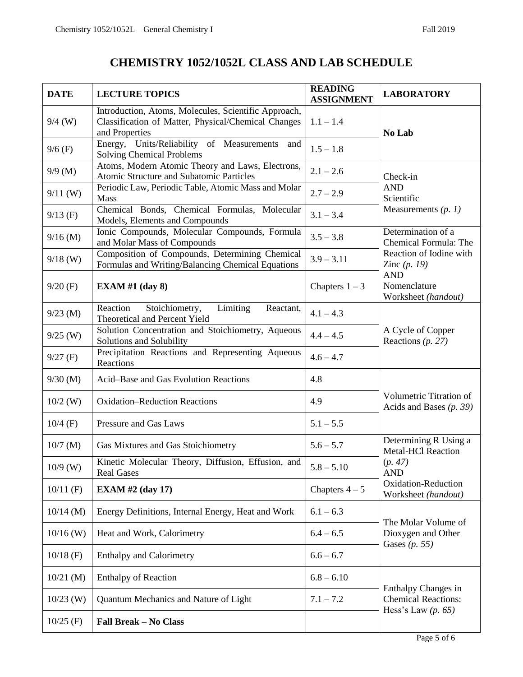# **CHEMISTRY 1052/1052L CLASS AND LAB SCHEDULE**

| <b>DATE</b> | <b>LECTURE TOPICS</b>                                                                                                         | <b>READING</b><br><b>ASSIGNMENT</b> | <b>LABORATORY</b>                                             |
|-------------|-------------------------------------------------------------------------------------------------------------------------------|-------------------------------------|---------------------------------------------------------------|
| $9/4$ (W)   | Introduction, Atoms, Molecules, Scientific Approach,<br>Classification of Matter, Physical/Chemical Changes<br>and Properties | $1.1 - 1.4$                         | No Lab                                                        |
| $9/6$ (F)   | Energy, Units/Reliability of Measurements<br>and<br><b>Solving Chemical Problems</b>                                          | $1.5 - 1.8$                         |                                                               |
| $9/9$ (M)   | Atoms, Modern Atomic Theory and Laws, Electrons,<br>Atomic Structure and Subatomic Particles                                  | $2.1 - 2.6$                         | Check-in<br><b>AND</b><br>Scientific<br>Measurements $(p. 1)$ |
| $9/11$ (W)  | Periodic Law, Periodic Table, Atomic Mass and Molar<br><b>Mass</b>                                                            | $2.7 - 2.9$                         |                                                               |
| $9/13$ (F)  | Chemical Bonds, Chemical Formulas, Molecular<br>Models, Elements and Compounds                                                | $3.1 - 3.4$                         |                                                               |
| $9/16$ (M)  | Ionic Compounds, Molecular Compounds, Formula<br>and Molar Mass of Compounds                                                  | $3.5 - 3.8$                         | Determination of a<br>Chemical Formula: The                   |
| $9/18$ (W)  | Composition of Compounds, Determining Chemical<br>Formulas and Writing/Balancing Chemical Equations                           | $3.9 - 3.11$                        | Reaction of Iodine with<br>Zinc $(p. 19)$                     |
| $9/20$ (F)  | EXAM #1 $(day 8)$                                                                                                             | Chapters $1-3$                      | <b>AND</b><br>Nomenclature<br>Worksheet (handout)             |
| $9/23$ (M)  | Limiting<br>Stoichiometry,<br>Reaction<br>Reactant,<br>Theoretical and Percent Yield                                          | $4.1 - 4.3$                         |                                                               |
| $9/25$ (W)  | Solution Concentration and Stoichiometry, Aqueous<br>Solutions and Solubility                                                 | $4.4 - 4.5$                         | A Cycle of Copper<br>Reactions $(p. 27)$                      |
| $9/27$ (F)  | Precipitation Reactions and Representing Aqueous<br>Reactions                                                                 | $4.6 - 4.7$                         |                                                               |
| $9/30$ (M)  | Acid-Base and Gas Evolution Reactions                                                                                         | 4.8                                 | Volumetric Titration of<br>Acids and Bases $(p. 39)$          |
| $10/2$ (W)  | <b>Oxidation-Reduction Reactions</b>                                                                                          | 4.9                                 |                                                               |
| $10/4$ (F)  | Pressure and Gas Laws                                                                                                         | $5.1 - 5.5$                         |                                                               |
| $10/7$ (M)  | Gas Mixtures and Gas Stoichiometry                                                                                            | $5.6 - 5.7$                         | Determining R Using a<br><b>Metal-HCl Reaction</b>            |
| $10/9$ (W)  | Kinetic Molecular Theory, Diffusion, Effusion, and<br><b>Real Gases</b>                                                       | $5.8 - 5.10$                        | (p. 47)<br><b>AND</b>                                         |
| $10/11$ (F) | <b>EXAM #2 (day 17)</b>                                                                                                       | Chapters $4-5$                      | Oxidation-Reduction<br>Worksheet (handout)                    |
| $10/14$ (M) | Energy Definitions, Internal Energy, Heat and Work                                                                            | $6.1 - 6.3$                         | The Molar Volume of                                           |
| $10/16$ (W) | Heat and Work, Calorimetry                                                                                                    | $6.4 - 6.5$                         | Dioxygen and Other<br>Gases $(p. 55)$                         |
| $10/18$ (F) | <b>Enthalpy and Calorimetry</b>                                                                                               | $6.6 - 6.7$                         |                                                               |
| $10/21$ (M) | <b>Enthalpy of Reaction</b>                                                                                                   | $6.8 - 6.10$                        | Enthalpy Changes in                                           |
| $10/23$ (W) | Quantum Mechanics and Nature of Light                                                                                         | $7.1 - 7.2$                         | <b>Chemical Reactions:</b><br>Hess's Law $(p. 65)$            |
| $10/25$ (F) | <b>Fall Break - No Class</b>                                                                                                  |                                     |                                                               |